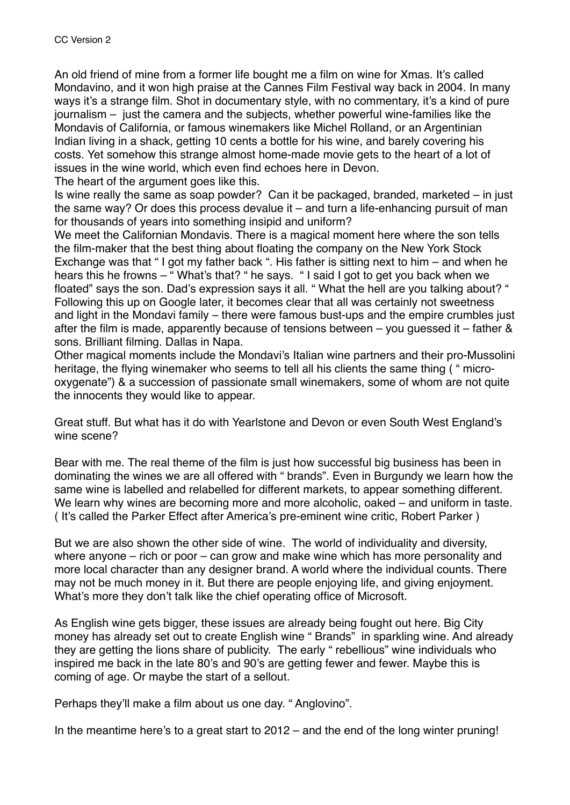An old friend of mine from a former life bought me a film on wine for Xmas. It's called Mondavino, and it won high praise at the Cannes Film Festival way back in 2004. In many ways it's a strange film. Shot in documentary style, with no commentary, it's a kind of pure journalism – just the camera and the subjects, whether powerful wine-families like the Mondavis of California, or famous winemakers like Michel Rolland, or an Argentinian Indian living in a shack, getting 10 cents a bottle for his wine, and barely covering his costs. Yet somehow this strange almost home-made movie gets to the heart of a lot of issues in the wine world, which even find echoes here in Devon.

The heart of the argument goes like this.

Is wine really the same as soap powder? Can it be packaged, branded, marketed – in just the same way? Or does this process devalue it – and turn a life-enhancing pursuit of man for thousands of years into something insipid and uniform?

We meet the Californian Mondavis. There is a magical moment here where the son tells the film-maker that the best thing about floating the company on the New York Stock Exchange was that " I got my father back ". His father is sitting next to him – and when he hears this he frowns – " What's that? " he says. " I said I got to get you back when we floated" says the son. Dad's expression says it all. " What the hell are you talking about? " Following this up on Google later, it becomes clear that all was certainly not sweetness and light in the Mondavi family – there were famous bust-ups and the empire crumbles just after the film is made, apparently because of tensions between – you guessed it – father & sons. Brilliant filming. Dallas in Napa.

Other magical moments include the Mondavi's Italian wine partners and their pro-Mussolini heritage, the flying winemaker who seems to tell all his clients the same thing ( " microoxygenate") & a succession of passionate small winemakers, some of whom are not quite the innocents they would like to appear.

Great stuff. But what has it do with Yearlstone and Devon or even South West England's wine scene?

Bear with me. The real theme of the film is just how successful big business has been in dominating the wines we are all offered with " brands". Even in Burgundy we learn how the same wine is labelled and relabelled for different markets, to appear something different. We learn why wines are becoming more and more alcoholic, oaked – and uniform in taste. ( It's called the Parker Effect after America's pre-eminent wine critic, Robert Parker )

But we are also shown the other side of wine. The world of individuality and diversity, where anyone – rich or poor – can grow and make wine which has more personality and more local character than any designer brand. A world where the individual counts. There may not be much money in it. But there are people enjoying life, and giving enjoyment. What's more they don't talk like the chief operating office of Microsoft.

As English wine gets bigger, these issues are already being fought out here. Big City money has already set out to create English wine " Brands" in sparkling wine. And already they are getting the lions share of publicity. The early " rebellious" wine individuals who inspired me back in the late 80's and 90's are getting fewer and fewer. Maybe this is coming of age. Or maybe the start of a sellout.

Perhaps they'll make a film about us one day. " Anglovino".

In the meantime here's to a great start to 2012 – and the end of the long winter pruning!